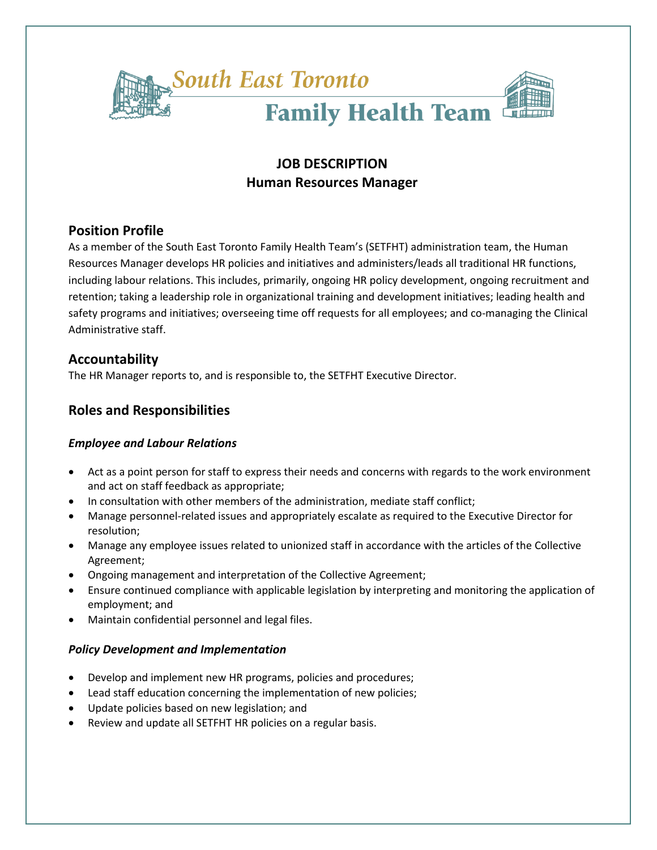

# **JOB DESCRIPTION Human Resources Manager**

# **Position Profile**

As a member of the South East Toronto Family Health Team's (SETFHT) administration team, the Human Resources Manager develops HR policies and initiatives and administers/leads all traditional HR functions, including labour relations. This includes, primarily, ongoing HR policy development, ongoing recruitment and retention; taking a leadership role in organizational training and development initiatives; leading health and safety programs and initiatives; overseeing time off requests for all employees; and co-managing the Clinical Administrative staff.

# **Accountability**

The HR Manager reports to, and is responsible to, the SETFHT Executive Director.

# **Roles and Responsibilities**

### *Employee and Labour Relations*

- Act as a point person for staff to express their needs and concerns with regards to the work environment and act on staff feedback as appropriate;
- In consultation with other members of the administration, mediate staff conflict;
- Manage personnel-related issues and appropriately escalate as required to the Executive Director for resolution;
- Manage any employee issues related to unionized staff in accordance with the articles of the Collective Agreement;
- Ongoing management and interpretation of the Collective Agreement;
- Ensure continued compliance with applicable legislation by interpreting and monitoring the application of employment; and
- Maintain confidential personnel and legal files.

### *Policy Development and Implementation*

- Develop and implement new HR programs, policies and procedures;
- Lead staff education concerning the implementation of new policies;
- Update policies based on new legislation; and
- Review and update all SETFHT HR policies on a regular basis.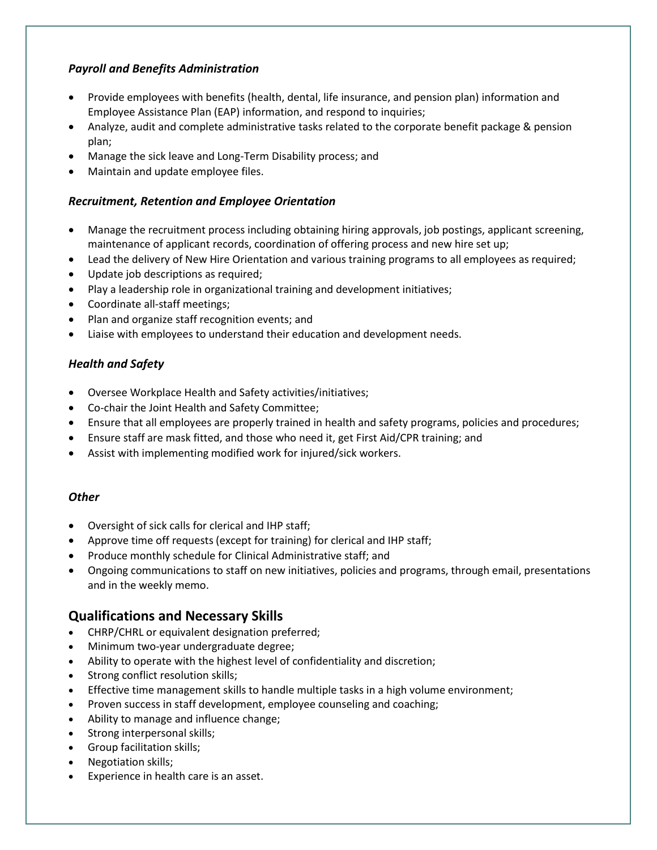### *Payroll and Benefits Administration*

- Provide employees with benefits (health, dental, life insurance, and pension plan) information and Employee Assistance Plan (EAP) information, and respond to inquiries;
- Analyze, audit and complete administrative tasks related to the corporate benefit package & pension plan;
- Manage the sick leave and Long-Term Disability process; and
- Maintain and update employee files.

### *Recruitment, Retention and Employee Orientation*

- Manage the recruitment process including obtaining hiring approvals, job postings, applicant screening, maintenance of applicant records, coordination of offering process and new hire set up;
- Lead the delivery of New Hire Orientation and various training programs to all employees as required;
- Update job descriptions as required;
- Play a leadership role in organizational training and development initiatives;
- Coordinate all-staff meetings;
- Plan and organize staff recognition events; and
- Liaise with employees to understand their education and development needs.

### *Health and Safety*

- Oversee Workplace Health and Safety activities/initiatives;
- Co-chair the Joint Health and Safety Committee;
- Ensure that all employees are properly trained in health and safety programs, policies and procedures;
- Ensure staff are mask fitted, and those who need it, get First Aid/CPR training; and
- Assist with implementing modified work for injured/sick workers.

### *Other*

- Oversight of sick calls for clerical and IHP staff;
- Approve time off requests (except for training) for clerical and IHP staff;
- Produce monthly schedule for Clinical Administrative staff; and
- Ongoing communications to staff on new initiatives, policies and programs, through email, presentations and in the weekly memo.

# **Qualifications and Necessary Skills**

- CHRP/CHRL or equivalent designation preferred;
- Minimum two-year undergraduate degree;
- Ability to operate with the highest level of confidentiality and discretion;
- Strong conflict resolution skills;
- Effective time management skills to handle multiple tasks in a high volume environment;
- Proven success in staff development, employee counseling and coaching;
- Ability to manage and influence change;
- Strong interpersonal skills;
- Group facilitation skills;
- Negotiation skills;
- Experience in health care is an asset.